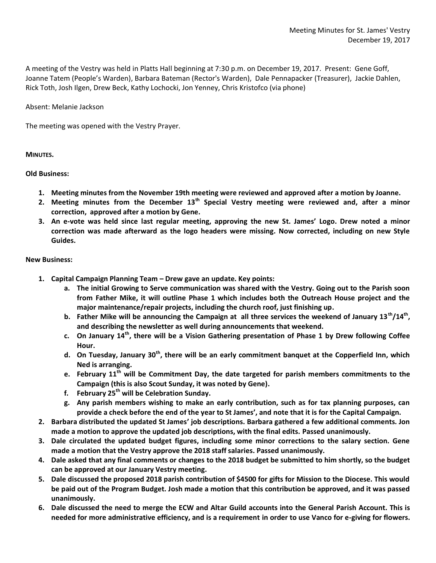A meeting of the Vestry was held in Platts Hall beginning at 7:30 p.m. on December 19, 2017. Present: Gene Goff, Joanne Tatem (People's Warden), Barbara Bateman (Rector's Warden), Dale Pennapacker (Treasurer), Jackie Dahlen, Rick Toth, Josh Ilgen, Drew Beck, Kathy Lochocki, Jon Yenney, Chris Kristofco (via phone)

Absent: Melanie Jackson

The meeting was opened with the Vestry Prayer.

## **MINUTES.**

## **Old Business:**

- **1. Meeting minutes from the November 19th meeting were reviewed and approved after a motion by Joanne.**
- **2. Meeting minutes from the December 13th Special Vestry meeting were reviewed and, after a minor correction, approved after a motion by Gene.**
- **3. An e-vote was held since last regular meeting, approving the new St. James' Logo. Drew noted a minor correction was made afterward as the logo headers were missing. Now corrected, including on new Style Guides.**

## **New Business:**

- **1. Capital Campaign Planning Team – Drew gave an update. Key points:**
	- **a. The initial Growing to Serve communication was shared with the Vestry. Going out to the Parish soon from Father Mike, it will outline Phase 1 which includes both the Outreach House project and the major maintenance/repair projects, including the church roof, just finishing up.**
	- **b. Father Mike will be announcing the Campaign at all three services the weekend of January 13th/14th , and describing the newsletter as well during announcements that weekend.**
	- **c. On January 14th, there will be a Vision Gathering presentation of Phase 1 by Drew following Coffee Hour.**
	- **d. On Tuesday, January 30th, there will be an early commitment banquet at the Copperfield Inn, which Ned is arranging.**
	- **e. February 11 th will be Commitment Day, the date targeted for parish members commitments to the Campaign (this is also Scout Sunday, it was noted by Gene).**
	- **f. February 25th will be Celebration Sunday.**
	- **g. Any parish members wishing to make an early contribution, such as for tax planning purposes, can provide a check before the end of the year to St James', and note that it is for the Capital Campaign.**
- **2. Barbara distributed the updated St James' job descriptions. Barbara gathered a few additional comments. Jon made a motion to approve the updated job descriptions, with the final edits. Passed unanimously.**
- **3. Dale circulated the updated budget figures, including some minor corrections to the salary section. Gene made a motion that the Vestry approve the 2018 staff salaries. Passed unanimously.**
- **4. Dale asked that any final comments or changes to the 2018 budget be submitted to him shortly, so the budget can be approved at our January Vestry meeting.**
- **5. Dale discussed the proposed 2018 parish contribution of \$4500 for gifts for Mission to the Diocese. This would be paid out of the Program Budget. Josh made a motion that this contribution be approved, and it was passed unanimously.**
- **6. Dale discussed the need to merge the ECW and Altar Guild accounts into the General Parish Account. This is needed for more administrative efficiency, and is a requirement in order to use Vanco for e-giving for flowers.**